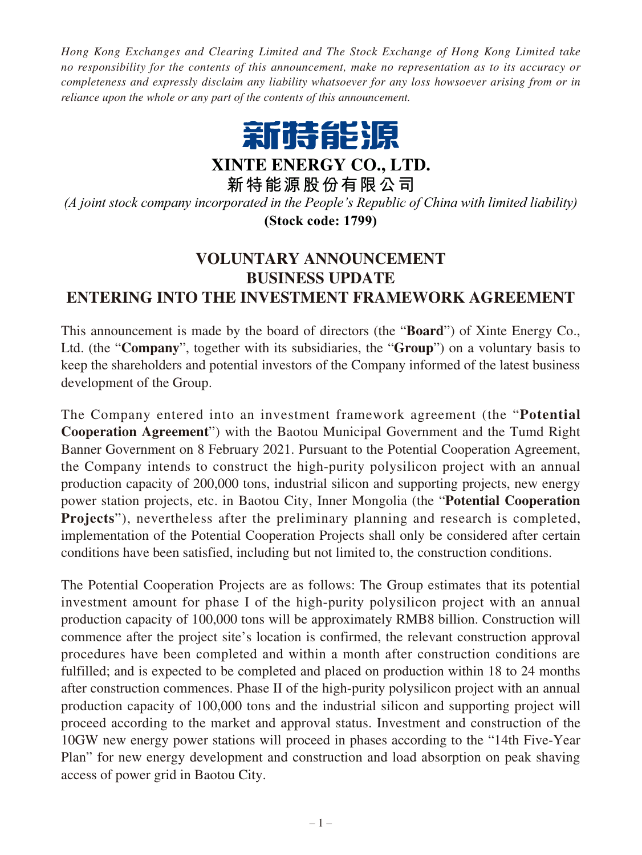*Hong Kong Exchanges and Clearing Limited and The Stock Exchange of Hong Kong Limited take no responsibility for the contents of this announcement, make no representation as to its accuracy or completeness and expressly disclaim any liability whatsoever for any loss howsoever arising from or in reliance upon the whole or any part of the contents of this announcement.*



**XINTE ENERGY CO., LTD.**

**新特能源股份有限公司**

**(Stock code: 1799)** *(A joint stock company incorporated in the People's Republic of China with limited liability)*

## **VOLUNTARY ANNOUNCEMENT BUSINESS UPDATE ENTERING INTO THE INVESTMENT FRAMEWORK AGREEMENT**

This announcement is made by the board of directors (the "**Board**") of Xinte Energy Co., Ltd. (the "**Company**", together with its subsidiaries, the "**Group**") on a voluntary basis to keep the shareholders and potential investors of the Company informed of the latest business development of the Group.

The Company entered into an investment framework agreement (the "**Potential Cooperation Agreement**") with the Baotou Municipal Government and the Tumd Right Banner Government on 8 February 2021. Pursuant to the Potential Cooperation Agreement, the Company intends to construct the high-purity polysilicon project with an annual production capacity of 200,000 tons, industrial silicon and supporting projects, new energy power station projects, etc. in Baotou City, Inner Mongolia (the "**Potential Cooperation Projects**"), nevertheless after the preliminary planning and research is completed, implementation of the Potential Cooperation Projects shall only be considered after certain conditions have been satisfied, including but not limited to, the construction conditions.

The Potential Cooperation Projects are as follows: The Group estimates that its potential investment amount for phase I of the high-purity polysilicon project with an annual production capacity of 100,000 tons will be approximately RMB8 billion. Construction will commence after the project site's location is confirmed, the relevant construction approval procedures have been completed and within a month after construction conditions are fulfilled; and is expected to be completed and placed on production within 18 to 24 months after construction commences. Phase II of the high-purity polysilicon project with an annual production capacity of 100,000 tons and the industrial silicon and supporting project will proceed according to the market and approval status. Investment and construction of the 10GW new energy power stations will proceed in phases according to the "14th Five-Year Plan" for new energy development and construction and load absorption on peak shaving access of power grid in Baotou City.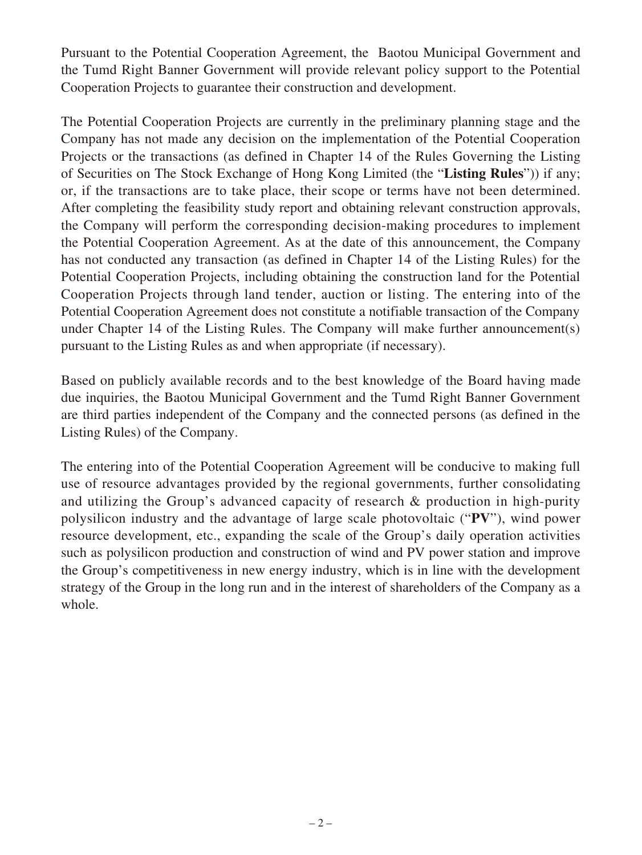Pursuant to the Potential Cooperation Agreement, the Baotou Municipal Government and the Tumd Right Banner Government will provide relevant policy support to the Potential Cooperation Projects to guarantee their construction and development.

The Potential Cooperation Projects are currently in the preliminary planning stage and the Company has not made any decision on the implementation of the Potential Cooperation Projects or the transactions (as defined in Chapter 14 of the Rules Governing the Listing of Securities on The Stock Exchange of Hong Kong Limited (the "**Listing Rules**")) if any; or, if the transactions are to take place, their scope or terms have not been determined. After completing the feasibility study report and obtaining relevant construction approvals, the Company will perform the corresponding decision-making procedures to implement the Potential Cooperation Agreement. As at the date of this announcement, the Company has not conducted any transaction (as defined in Chapter 14 of the Listing Rules) for the Potential Cooperation Projects, including obtaining the construction land for the Potential Cooperation Projects through land tender, auction or listing. The entering into of the Potential Cooperation Agreement does not constitute a notifiable transaction of the Company under Chapter 14 of the Listing Rules. The Company will make further announcement(s) pursuant to the Listing Rules as and when appropriate (if necessary).

Based on publicly available records and to the best knowledge of the Board having made due inquiries, the Baotou Municipal Government and the Tumd Right Banner Government are third parties independent of the Company and the connected persons (as defined in the Listing Rules) of the Company.

The entering into of the Potential Cooperation Agreement will be conducive to making full use of resource advantages provided by the regional governments, further consolidating and utilizing the Group's advanced capacity of research & production in high-purity polysilicon industry and the advantage of large scale photovoltaic ("**PV**"), wind power resource development, etc., expanding the scale of the Group's daily operation activities such as polysilicon production and construction of wind and PV power station and improve the Group's competitiveness in new energy industry, which is in line with the development strategy of the Group in the long run and in the interest of shareholders of the Company as a whole.